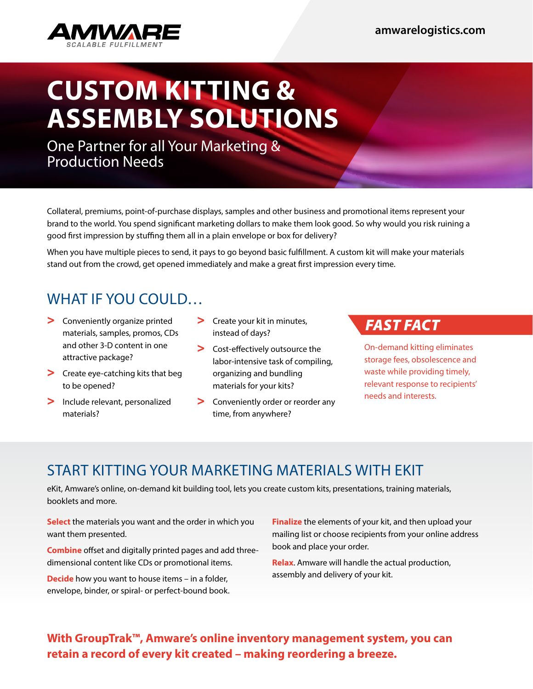

# **CUSTOM KITTING & ASSEMBLY SOLUTIONS**

One Partner for all Your Marketing & Production Needs

Collateral, premiums, point-of-purchase displays, samples and other business and promotional items represent your brand to the world. You spend significant marketing dollars to make them look good. So why would you risk ruining a good first impression by stuffing them all in a plain envelope or box for delivery?

When you have multiple pieces to send, it pays to go beyond basic fulfillment. A custom kit will make your materials stand out from the crowd, get opened immediately and make a great first impression every time.

# WHAT IF YOU COULD…

- > Conveniently organize printed materials, samples, promos, CDs and other 3-D content in one attractive package?
- > Create eye-catching kits that beg to be opened?
- > Include relevant, personalized materials?
- > Create your kit in minutes, instead of days?
- > Cost-effectively outsource the labor-intensive task of compiling, organizing and bundling materials for your kits?
- > Conveniently order or reorder any time, from anywhere?

### *FAST FACT*

On-demand kitting eliminates storage fees, obsolescence and waste while providing timely, relevant response to recipients' needs and interests.

# START KITTING YOUR MARKETING MATERIALS WITH EKIT

eKit, Amware's online, on-demand kit building tool, lets you create custom kits, presentations, training materials, booklets and more.

**Select** the materials you want and the order in which you want them presented.

**Combine** offset and digitally printed pages and add threedimensional content like CDs or promotional items.

**Decide** how you want to house items – in a folder, envelope, binder, or spiral- or perfect-bound book. **Finalize** the elements of your kit, and then upload your mailing list or choose recipients from your online address book and place your order.

**Relax**. Amware will handle the actual production, assembly and delivery of your kit.

#### **With GroupTrak™, Amware's online inventory management system, you can retain a record of every kit created – making reordering a breeze.**